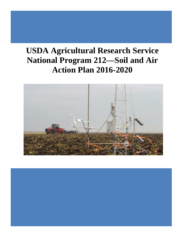# **USDA Agricultural Research Service National Program 212—Soil and Air Action Plan 2016-2020**



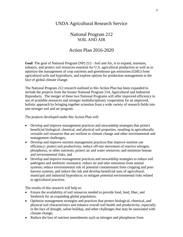## USDA Agricultural Research Service

# National Program 212 SOIL AND AIR

# Action Plan 2016-2020

**Goal**: The goal of National Program (NP) 212 - Soil and Air, is to expand, maintain, enhance, and protect soil resources essential for U.S. agricultural production as well as to optimize the management of crop nutrients and greenhouse gas emissions (GHG) from agricultural soils and byproducts, and explore options for production management in the face of global climate change.

The National Program 212 research outlined in this Action Plan has been expanded to include the projects from the former National Program 214, Agricultural and Industrial Byproducts*.* The merger of these two National Programs will offer improved efficiency in use of available resources and stronger multidisciplinary cooperation for an improved, holistic approach by bringing together scientists from a wide variety of research fields into one stronger soil and air program.

The projects developed under this Action Plan will:

- Develop and improve management practices and stewardship strategies that protect beneficial biological, chemical, and physical soil properties, resulting in agriculturally versatile soil resources that are resilient to climate change and other environmental and management challenges;
- Develop and improve nutrient management practices that improve nutrient use efficiency; protect soil productivity; reduce off-site movement of reactive nitrogen, phosphorus, or other nutrients; protect air and water resources; and minimize human and environmental risks; and
- Develop and improve management practices and stewardship strategies to reduce soil pathogens and antibiotic resistance; reduce air and odor emissions from animal systems; reduce environmental risk of potential contaminants from cropping and postharvest systems; and reduce the risk and develop beneficial uses of agricultural, municipal and industrial byproducts; to mitigate potential environmental risks related to agricultural practices.

The results of this research will help to:

- Ensure the availability of soil resources needed to provide food, feed, fiber, and feedstock for an expanding global population;
- Optimize management strategies and practices that protect biological, chemical, and physical soil characteristics and enhance overall soil health and productivity, especially in the face of drought, saline buildup, and other challenges that may be associated with climate change;
- Reduce the loss of nutrient amendments such as nitrogen and phosphorus from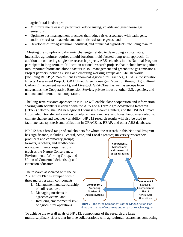agricultural landscapes;

- Minimize the release of particulate, odor-causing, volatile and greenhouse gas emissions;
- Optimize best management practices that reduce risks associated with pathogens, antibiotic resistant bacteria, and antibiotic resistance genes; and
- Develop uses for agricultural, industrial, and municipal byproducts, including manure.

 Meeting the complex and dynamic challenges related to developing a sustainable, intensified agriculture requires a multi-location, multi-faceted, long-term approach. In addition to conducting single-site research projects, ARS scientists in this National Program participate in long-term, multi-location national research projects that include investigations into important biotic and abiotic factors in soil management and greenhouse gas emissions. Project partners include existing and emerging working groups and ARS networks [including REAP (ARS-Resilient Economical Agricultural Practices); CEAP (Conservation Effects Assessment Project); GRACEnet (Greenhouse gas Reduction through Agricultural Carbon Enhancement network); and Livestock GRACEnet] as well as groups from universities, the Cooperative Extension Service, private industry, other U.S. agencies, and national and international cooperators.

The long-term research approach in NP 212 will enable close cooperation and information sharing with scientists involved with the ARS Long-Term Agro-ecosystems Research (LTAR) network, the USDA Regional Biomass Research Centers, and the USDA Climate Hubs, which transfer information to help farmers, ranchers, and forest landowners adapt to climate change and weather variability. NP 212 research results will also be used to facilitate data synthesis and utilization in GRACEnet, REAP, and other ARS databases.

NP 212 has a broad range of stakeholders for whom the research in this National Program has significance, including Federal, State, and Local agencies; university researchers;

producers and commodity groups; farmers, ranchers, and landholders; non-governmental organizations (such as the Nature Conservancy, Environmental Working Group, and Union of Concerned Scientists); and extension educators.

The research associated with the NP 212 Action Plan is grouped within three major research components:

- 1. Management and stewardship of soil resources;
- 2. Managing nutrients in agroecosystems; and
- 3. Reducing environmental risk of agricultural operations.





To achieve the overall goals of NP 212, components of the research are large multidisciplinary efforts that involve collaborations with agricultural researchers conducting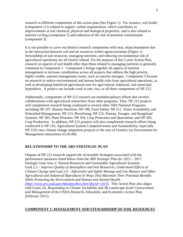research in different components of this action plan (See Figure 1). For instance, soil health (component 1) is related to organic carbon sequestration, which contributes to improvements in soil chemical, physical and biological properties, and is also related to nutrient cycling (component 2) and reduction of the risk of potential contaminants (component 3).

It is not possible to carve out distinct research components with neat, sharp boundaries due to the interaction between soil and air resources within agroecosystems (Figure 1). Stewardship of soil resources, managing nutrients, and reducing environmental risk of agricultural operations are all closely related. For the purpose of this 5-year Action Plan, research on aspects of soil health other than those related to managing nutrients is generally contained in Component 1. Component 2 brings together all aspects of nutrient management to increase coordination across all projects that address the high priority, highly visible, nutrient management issues, such as reactive nitrogen. Component 3 focuses on research to reduce environmental and human health risks from agricultural operations, as well as developing beneficial agricultural uses for agricultural, industrial, and municipal byproducts. A project can include work in one, two, or all three components of NP 212.

Additionally, components of NP 212 research are multidisciplinary efforts that involve collaborations with agricultural researchers from other programs. Thus, NP 212 projects will complement research being conducted in several other ARS National Programs, including NP 107, Human Nutrition; NP 108, Food Safety; NP 211, Water Availability and Watershed Management; NP 213, Biorefining; NP 215, Pasture, Forages, and Rangeland Systems; NP 303, Plant Diseases; NP 304, Crop Protection and Quarantine; and NP 305, Crop Production. In addition, NP 212 projects will also complement research efforts being conducted in NP 216, Agricultural System Competitiveness and Sustainability, especially NP 216's new climate change adaptation projects in the area of Genetics by Environment by Management interactions (GxExM).

## **RELATIONSHIP TO THE ARS STRATEGIC PLAN**

Outputs of NP 212 research support the Actionable Strategies associated with the performance measures listed below from the *ARS Strategic Plan for 2012 – 2017*, Strategic Goal Area 2: Natural Resources and Sustainable Agricultural Systems; Goal 2.2 – *Improve Quality of Atmosphere and Soil Resources, Understand Effects of Climate Change* and Goal 2.4 – *Effectively and Safely Manage and Use Manure and Other Agricultural and Industrial Byproducts In Ways That Maximize Their Potential Benefits While Protecting the Environment and Human and Animal Health. [\(http://www.ars.usda.gov/Aboutus/docs.htm?docid=1415\)](http://www.ars.usda.gov/Aboutus/docs.htm?docid=1415).* This Action Plan also aligns with Goals 2A, *Responding to Climate Variability* and 3B *Landscape-Scale Conservation and Management* of the USDA Research, Education, and Economics Action Plan (February 2012).

#### **COMPONENT 1: MANAGEMENT AND STEWARDSHIP OF SOIL RESOURCES**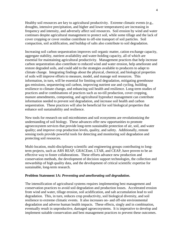Healthy soil resources are key to agricultural productivity. Extreme climatic events (e.g., droughts, intensive precipitation, and higher and lower temperatures) are increasing in frequency and intensity, and adversely affect soil resources. Soil erosion by wind and water continues despite agricultural management to protect soil, while some tillage and the lack of cover cropping or cover residue contribute to off-site transport of soil particles. Soil compaction, soil acidification, and buildup of salts also contribute to soil degradation.

Increasing soil carbon sequestration improves soil organic matter, cation exchange capacity, aggregate stability, nutrient availability and water-holding capacity, all of which are essential for maintaining agricultural productivity. Management practices that help increase carbon sequestration also contribute to reduced wind and water erosion, help ameliorate and restore degraded soils, and could add to the strategies available to producers to adapt to climate change. Integrating findings about the physical, chemical, and biological properties of soils will improve efforts to measure, model, and manage soil resources. This information, in turn, will be essential for limiting soil degradation, mitigating greenhouse gas emissions, sequestering soil carbon, improving nutrient use and cycling, building resilience to climate change, and enhancing soil health and resilience. Long-term studies of practices and/or combinations of practices such as no-till production, cover cropping, manure amendments, composting, and agricultural byproduct management can contribute information needed to prevent soil degradation, and increase soil health and carbon sequestration. These practices will also be beneficial for soil biological properties that enhance soil sustainability and resilience.

New tools for research on soil microbiomes and soil ecosystems are revolutionizing the understanding of soil biology. These advances offer new opportunities to promote agroecosystem services that provide long-term sustainable protection of air, soil, and water quality; and improve crop production levels, quality, and safety. Additionally, remote sensing tools provide powerful tools for detecting and monitoring soil degradation and protecting soil resources.

Multi-location, multi-disciplinary scientific and engineering groups contributing to longterm projects, such as ARS REAP, GRACEnet, LTAR, and CEAP, have proven to be an effective way to foster collaborations. These efforts advance new production and conservation methods, the development of decision support technologies, the collection and stewardship of high quality data, and the development of critical scientific expertise for sustainable, long-term research.

#### **Problem Statement 1A:** *Preventing and ameliorating soil degradation***.**

The intensification of agricultural systems requires implementing best management and conservation practices to avoid soil degradation and production losses. Accelerated erosion from wind and water, tillage erosion, soil acidification, and salt accumulation lead to soil degradation. This, in turn, reduces crop productivity, soil biological diversity, and soil resilience to extreme climatic events. It also increases on- and off-site environmental degradation and adverse human health impacts. These effects, singly and in combination, eventually result in unproductive, damaged agroecosystems. It is imperative to develop and implement suitable conservation and best management practices to prevent these outcomes.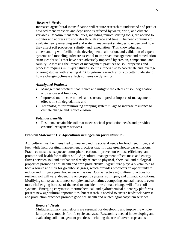#### *Research Needs:*

Increased agricultural intensification will require research to understand and predict how sediment transport and deposition is affected by water, wind, and climate variables. Measurement techniques, including remote sensing tools, are needed to monitor and address erosion rates through space and time. The need continues to evaluate newly emerging soil and water management strategies to understand how they affect soil properties, salinity, and remediation. This knowledge and understanding will facilitate the development, calibration, and validation of expert systems and modeling software essential to improved management and remediation strategies for soils that have been adversely impacted by erosion, compaction, and salinity. Assessing the impact of management practices on soil properties and processes requires multi-year studies, so, it is imperative to coordinate and leverage ongoing studies with existing ARS long-term research efforts to better understand how a changing climate affects soil erosion dynamics.

#### *Anticipated Products*

- Management practices that reduce and mitigate the effects of soil degradation and restore soil function;
- Improved multi-scale models and sensors to predict impacts of management effects on soil degradation; and
- Technologies for minimizing cropping system tillage to increase resilience to climate change and reduce erosion.

#### *Potential Benefits*

• Resilient, sustainable soil that meets societal production needs and provides essential ecosystem services.

#### **Problem Statement 1B:** *Agricultural management for resilient soil.*

Agriculture must be intensified to meet expanding societal needs for food, feed, fiber, and fuel, while incorporating management practices that mitigate greenhouse gas emissions. Practices must also sequester atmospheric carbon, improve nutrient use efficiency, and promote soil health for resilient soil. Agricultural management affects mass and energy fluxes between soil and air that are directly related to physical, chemical, and biological properties promoting soil health and crop productivity. Agriculture plays a pivotal role as both a source and sink for greenhouse gases, which provides producers an opportunity to reduce and mitigate greenhouse gas emissions. Cost-effective agricultural practices for resilient soil will vary, depending on cropping systems, soil types, and climatic conditions. Modifying soil systems to meet complex and sometimes competing societal needs is even more challenging because of the need to consider how climate change will affect soil systems. Emerging enzymatic, thermochemical, and hydrochemical bioenergy platforms present new agricultural opportunities, but research is needed to ensure feedstock harvest and production practices promote good soil health and related agroecosystem services.

#### *Research Needs*

Multidisciplinary team efforts are essential for developing and improving wholefarm process models for life cycle analyses. Research is needed in developing and evaluating soil management practices, including the use of cover crops and soil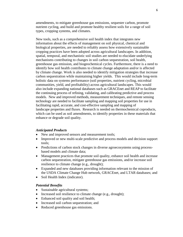amendments, to mitigate greenhouse gas emissions, sequester carbon, promote nutrient cycling, and build and promote healthy resilient soils for a range of soil types, cropping systems, and climates.

New tools, such as a comprehensive soil health index that integrates new information about the effects of management on soil physical, chemical and biological properties, are needed to reliably assess how extensively sustainable cropping practices have been adopted across agricultural landscapes. In addition, spatial, temporal, and mechanistic soil studies are needed to elucidate underlying mechanisms contributing to changes in soil carbon sequestration, soil health, greenhouse gas emission, and biogeochemical cycles. Furthermore, there is a need to identify how soil health contributes to climate change adaptation and/or is affected by climate change. Work is also needed to identify mitigation strategies that increase carbon sequestration while maintaining higher yields. This would include long-term holistic data on systems performance (soil properties, nutrient cycling, microbial communities, yield, and profitability) across agricultural landscapes. This would also include expanding national databases such as GRACEnet and REAP to facilitate the continuing process of refining, validating, and calibrating predictive and process models. New and improved methods, measurement techniques, and remote sensing technology are needed to facilitate sampling and mapping soil properties for use in facilitating rapid, accurate, and cost-effective sampling and mapping of landscape properties and fluxes. Research is needed on thermochemical coproducts, which can be used as soil amendments, to identify properties in these materials that enhance or degrade soil quality.

## *Anticipated Products*

- New and improved sensors and measurement tools;
- Improved or new multi-scale predictive and process models and decision support tools;
- Predictions of carbon stock changes in diverse agroecosystems using processbased models and climate data;
- Management practices that promote soil quality, enhance soil health and increase carbon sequestration, mitigate greenhouse gas emissions, and/or increase soil resilience to climate change (e.g., drought);
- Expanded and new databases providing information relevant to the mission of the USDA Climate Change Hub network, GRACEnet, and LTAR databases; and
- Soil Health Index (indicator).

#### *Potential Benefits*

- Sustainable agricultural systems;
- Increased soil resilience to climate change (e.g., drought);
- Enhanced soil quality and soil health;
- Increased soil carbon sequestration; and
- Reduced greenhouse gas emissions.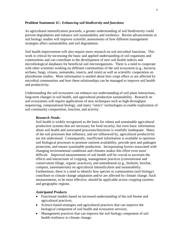#### **Problem Statement 1C:** *Enhancing soil biodiversity and functions*

As agricultural intensification proceeds, a greater understanding of soil biodiversity could prevent degradation and enhance soil sustainability and resilience. Recent advancements in soil biology studies will improve scientific assessments of how different management strategies affect sustainability and soil degradation.

Soil health improvement will also require more research on soil microbial functions. This work is critical for increasing the basic and applied understanding of soil organisms and communities and can contribute to the development of new soil health indices and microbiological databases for beneficial soil microorganisms. There is a need to cooperate with other scientists working on different communities of the soil ecosystem (e.g., bacteria, archaea, fungi, viruses, nematodes, insects, and roots) as well as scientific cooperation on phytobiome studies. More information is needed about how crops affect or are affected by microbial communities and how these relationships can be managed to improve soil health and productivity.

Understanding the soil ecosystem can enhance our understanding of soil-plant interactions, long-term changes in soil health, and agricultural production sustainability. Research on soil ecosystems will require applications of new techniques such as high-throughput sequencing, computational biology, and many "omics" technologies to enable exploration of soil community composition, function, and activity.

#### *Research Needs:*

Soil health is widely recognized as the basis for robust and sustainable agricultural production systems that are necessary for food security, but even basic information about soil health and associated processes/functions is woefully inadequate. Many of the soil processes that influence, and are influenced by, agricultural productivity are not understood. Consequently, insufficient information is available to optimize soil biological processes to promote nutrient availability, provide pest and pathogen protection, and ensure sustainable production. Incorporating factors associated with changing environmental conditions and climates makes this effort even more difficult. Improved measurements of soil health will be crucial to ascertain the effects and interactions of cropping, management practices (conventional and conservation tillage, organic practices), and amendments (e.g., biofuels, biochar, compost, nanomaterials) on agricultural intensification and sustainability. Furthermore, there is a need to identify how species or communities (soil biology) contribute to climate change adaptation and/or are affected by climate change. Such measurements, to be most effective, should be applicable across cropping systems and geographic regions.

#### *Anticipated Products*

- Functional models based on increased understanding of the soil biome and agricultural practices;
- Science-based strategies and agricultural practices that can improve the biological component of soil health and ecosystem services;
- Management practices that can improve the soil biology component of soil health resilience to climate change;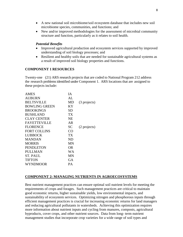- A new national soil microbiome/soil ecosystem database that includes new soil microbiome species, communities, and functions; and
- New and/or improved methodologies for the assessment of microbial community structure and function, particularly as it relates to soil health.

## *Potential Benefits*

- Improved agricultural production and ecosystem services supported by improved understanding of soil biology processes; and
- Resilient and healthy soils that are needed for sustainable agricultural systems as a result of improved soil biology properties and functions.

## **COMPONENT 1 RESOURCES**

Twenty-one (21) ARS research projects that are coded to National Program 212 address the research problems identified under Component 1. ARS locations that are assigned to these projects include:

| <b>AMES</b>          | <b>IA</b> |              |
|----------------------|-----------|--------------|
| AUBURN               | AI.       |              |
| <b>BELTSVILLE</b>    | MD        | (3 projects) |
| <b>BOWLING GREEN</b> | KY        |              |
| <b>BROOKINGS</b>     | SD        |              |
| <b>BUSHLAND</b>      | TX        |              |
| <b>CLAY CENTER</b>   | <b>NE</b> |              |
| <b>FAYETTEVILLE</b>  | AR        |              |
| <b>FLORENCE</b>      | <b>SC</b> | (2 projects) |
| <b>FORT COLLINS</b>  | CO        |              |
| LUBBOCK              | TX        |              |
| <b>MANDAN</b>        | ND        |              |
| <b>MORRIS</b>        | MN        |              |
| PENDLETON            | OR.       |              |
| PULLMAN              | WА        |              |
| ST. PAUL             | MN        |              |
| TIFTON               | GA        |              |
| WYNDMOOR             | PА        |              |

## **COMPONENT 2: MANAGING NUTRIENTS IN AGROECOSYSTEMS**

Best nutrient management practices can ensure optimal soil nutrient levels for meeting the requirements of crops and forages. Such management practices are critical to maintain good economic returns, higher sustainable yields, low environmental impacts, and sustainability of ecosystem services. Optimizing nitrogen and phosphorous inputs through efficient management practices is crucial for increasing economic returns for land managers and reducing agricultural pollutants in watersheds. Achieving this optimization requires more information about nutrient inputs and cycling from manures, composts, agricultural byproducts, cover crops, and other nutrient sources. Data from long- term nutrient management studies that incorporate crop varieties for a wide range of soil types and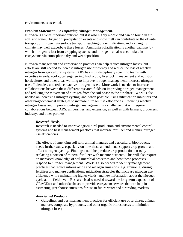environments is essential.

#### **Problem Statement** 2A*: Improving Nitrogen Management.*

Nitrogen is a very important nutrient, but it is also highly mobile and can be found in air, soil, and water. Irrigation, precipitation events and snow melt can contribute to the off-site transport of nitrogen via surface transport, leaching or denitrification, and a changing climate may well exacerbate these losses. Ammonia volatilization is another pathway by which nitrogen is lost from cropping systems, and nitrogen can also accumulate in ecosystems via atmospheric dry and wet deposition.

Nitrogen management and conservation practices can help reduce nitrogen losses, but efforts are still needed to increase nitrogen use efficiency and reduce the loss of reactive nitrogen from agricultural systems. ARS has multidisciplinary scientific teams with expertise in soils, ecological engineering, hydrology, livestock management and nutrition, horticulture, and other areas working to improve nitrogen management, increase nitrogen use efficiencies, and reduce reactive nitrogen losses. More work is needed to increase collaborations between these different research fields on improving nitrogen management and reducing the movement of nitrogen from the soil phase to the air phase. Work is also needed on increasing nitrogen cycling, and, when possible, using nitrification inhibitors and other biogeochemical strategies to increase nitrogen use efficiencies. Reducing reactive nitrogen losses and improving nitrogen management is a challenge that will require collaborations between ARS, universities, and extension, as well as with farmers, producers, industry, and other partners.

#### *Research Needs:*

Research is needed to improve agricultural production and environmental control systems and best management practices that increase fertilizer and manure nitrogen use efficiencies.

The effects of amending soil with animal manures and agricultural bioproducts, needs further study, especially on how these amendments support crop growth and affect nitrogen cycling. Findings could help reduce crop production costs by replacing a portion of mineral fertilizer with manure nutrients. This will also require an increased knowledge of soil microbial processes and how those processes respond to nitrogen management. Work is also needed to identify management practices that reduce nitrous oxide and nitrogen emissions (e.g. ammonia) during fertilizer and manure applications; mitigation strategies that increase nitrogen use efficiency while maintaining higher yields; and new information about the nitrogen cycle at the field level. Research is also needed toward the long-term expansion of GRACEnet and other databases to provide ecosystem services that can help in estimating greenhouse emissions for use in future water and air trading markets.

## *Anticipated Products*

• Guidelines and best management practices for efficient use of fertilizer, animal manure, composts, byproducts, and other organic bioresources to minimize nitrogen loses;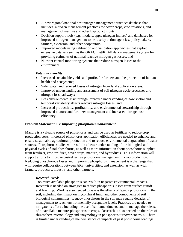- A new regional/national best nitrogen management practices database that includes nitrogen management practices for cover crops, crop rotations, and management of manure and other byproduct inputs;
- Decision support tools (e.g., models, apps, nitrogen indices) and databases for improved nitrogen management to be use by action agencies, policymakers, farmers, extension, and other cooperators;
- Improved models using calibration and validation approaches that exploit extensive data sets such as the GRACEnet/REAP data management system for providing estimates of national reactive nitrogen gas losses; and
- Nutrient control monitoring systems that reduce nitrogen losses to the environment.

## *Potential Benefits*

- Increased sustainable yields and profits for farmers and the protection of human health and ecosystems;
- Safer water and reduced losses of nitrogen from land application areas;
- Improved understanding and assessment of soil nitrogen cycle processes and nitrogen loss pathways;
- Less environmental risk through improved understanding of how spatial and temporal variability affects reactive nitrogen losses; and
- Increased productivity, profitability, and environmental stewardship through improved manure and fertilizer management and increased nitrogen use efficiency.

#### **Problem Statement 2B:** *Improving phosphorus management*.

Manure is a valuable source of phosphorus and can be used as fertilizer to reduce crop production costs. Increased phosphorus application efficiencies are needed to enhance and ensure sustainable agricultural production and to reduce environmental degradation of water sources. Phosphorus studies will result in a better understanding of the biological and physical cycles of soil phosphorus, as well as more information about phosphorus supplies from fertilizer, crop residues, cover crops, manure, and byproducts. This information will support efforts to improve cost-effective phosphorus management in crop production. Reducing phosphorous losses and improving phosphorus management is a challenge that will require collaborations between ARS, universities, and extension, as well as with farmers, producers, industry, and other partners.

#### *Research Needs*

Too much available phosphorus can result in negative environmental impacts. Research is needed on strategies to reduce phosphorus losses from surface runoff and leaching. Work is also needed to assess the effects of legacy phosphorus in the soil, including the impact on mycorrhizal fungi and other components of soil biological communities. Legacy phosphorus in the soil may require decades of management to reach environmentally acceptable levels. Practices are needed to mitigate its effects, including the use of soil amendments, and to manage the release of bioavailable manure-phosphorus to crops. Research is also needed on the roles of rhizosphere microbiology and enzymology in phosphorus turnover controls. There is limited understanding of the persistence of impacts of past phosphorus loadings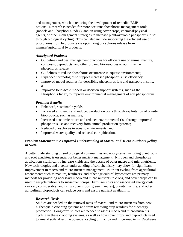and management, which is reducing the development of remedial BMP options. Research is needed for more accurate phosphorus management tools (models and Phosphorus-Index), and on using cover crops, chemical/physical agents, or other management strategies to increase plant-available phosphorus in soil through biological cycling. This can also include supporting the efficient use of phosphorus from byproducts via optimizing phosphorus release from manure/agricultural byproducts.

## *Anticipated Products*

- Guidelines and best management practices for efficient use of animal manure, composts, byproducts, and other organic bioresources to optimize the phosphorus release;
- Guidelines to reduce phosphorus occurrence in aquatic environments;
- Expanded technologies to support increased phosphorus use efficiency;
- Improved model routines for describing phosphorus fate and transport in soils; and
- Improved field-scale models or decision support systems, such as the Phosphorus Index, to improve environmental management of soil phosphorous.

## *Potential Benefits*

- Enhanced, sustainable yields;
- Increased efficiency and reduced production costs through exploitation of on-site bioproducts, such as manure;
- Increased economic return and reduced environmental risk through improved phosphorus use and recovery from animal production systems;
- Reduced phosphorus in aquatic environments; and
- Improved water quality and reduced eutrophication.

## **Problem Statement 2C***: Improved Understanding of Macro- and Micro-nutrient Cycling in Soils.*

A better understanding of soil biological communities and ecosystems, including plant roots and root exudates, is essential for better nutrient management. Nitrogen and phosphorus applications significantly increase yields and the uptake of other macro and micronutrients. New technologies and a better understanding of soil chemistry may allow for significant improvement in macro and micro-nutrient management. Nutrient cycling from agricultural amendments such as manure, fertilizers, and other agricultural byproducts are primary methods for providing necessary macro and micro nutrients to crops, and cover crops can be used to recycle nutrients to subsequent crops. Fertilizer costs and associated energy costs, can vary considerably, and using cover crops (green manures), on-site manure, and other agricultural bioproducts can reduce costs and ensure nutrient availability.

## *Research Needs*

Studies are needed on the removal rates of macro- and micro-nutrients from new, higher-yield cropping systems and from removing crop residues for bioenergy production. Long-term studies are needed to assess macro and micro-nutrients cycling in these cropping systems, as well as how cover crops and byproducts used to amend soils affect the potential cycling of macro- and micro-nutrients. Databases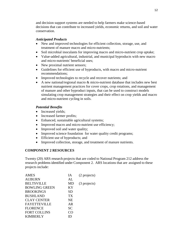and decision support systems are needed to help farmers make science-based decisions that can contribute to increased yields, economic returns, and soil and water conservation.

## *Anticipated Products*

- New and improved technologies for efficient collection, storage, use, and treatment of manure macro and micro-nutrients;
- Soil microbial inoculants for improving macro and micro-nutrient crop uptake;
- Value-added agricultural, industrial, and municipal byproducts with new macro and micro-nutrients' beneficial uses;
- New proximal nutrient sensors;
- Guidelines for efficient use of byproducts, with macro and micro-nutrient recommendations;
- Improved technologies to recycle and recover nutrients; and
- A new national/regional macro & micro-nutrient database that includes new best nutrient management practices for cover crops, crop rotations, and management of manure and other byproduct inputs, that can be used to construct models simulating crop management strategies and their effect on crop yields and macro and micro-nutrient cycling in soils.

## *Potential Benefits*

- Increased yields;
- Increased farmer profits;
- Enhanced, sustainable agricultural systems;
- Improved macro and micro-nutrient use efficiency;
- Improved soil and water quality;
- Improved science foundation for water quality credit programs;
- Efficient use of byproducts; and
- Improved collection, storage, and treatment of manure nutrients.

## **COMPONENT 2 RESOURCES**

Twenty (20) ARS research projects that are coded to National Program 212 address the research problems identified under Component 2. ARS locations that are assigned to these projects include:

| <b>AMES</b>          | <b>IA</b>       | (2 projects) |
|----------------------|-----------------|--------------|
| <b>AUBURN</b>        | AL              |              |
| <b>BELTSVILLE</b>    | MD              | (3 projects) |
| <b>BOWLING GREEN</b> | KY              |              |
| <b>BROOKINGS</b>     | SD              |              |
| <b>BUSHLAND</b>      | TX <sup>-</sup> |              |
| <b>CLAY CENTER</b>   | <b>NE</b>       |              |
| <b>FAYETTEVILLE</b>  | AR              |              |
| <b>FLORENCE</b>      | <b>SC</b>       |              |
| <b>FORT COLLINS</b>  | ററ              |              |
| <b>KIMBERLY</b>      |                 |              |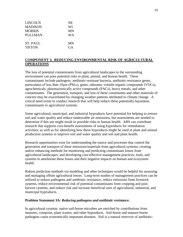| LINCOLN         | <b>NE</b> |
|-----------------|-----------|
| MADISON         | WI        |
| <b>MORRIS</b>   | MN        |
| PULLMAN         | WА        |
| <b>ST. PAUL</b> | <b>MN</b> |
| <b>TIFTON</b>   | GA        |

## **COMPONENT 3. REDUCING ENVIRONMENTAL RISK OF AGRICULTURAL OPERATIONS**

The loss of potential contaminants from agricultural landscapes to the surrounding environment can pose potential risks to plant, animal, and human health. These contaminants include pathogens, antibiotic-resistant bacteria, antibiotic-resistance genes, particulates of less than 10μm (PM10), gases, odorants, volatile organic compounds (VOCs), agrochemicals, pharmaceutically active compounds (PACs), heavy metals, and other contaminants. The generation, transport, and loss of these constituents and other materials of concern may be exacerbated by changing weather patterns attributed to climate change. A critical need exists to conduct research that will help reduce these potentially hazardous contaminants in agricultural systems.

Some agricultural, municipal, and industrial byproducts have potential for helping to restore soil and water quality and reduce undesirable air emissions, but assessments are needed to determine if this use might result in possible risks to human health. ARS can contribute research that supports cost-benefit assessments of using byproducts for remediation activities, as well as for identifying how these byproducts might be used in plant and animal production systems to improve soil and water quality and soil and plant health.

Research opportunities exist for understanding the source and processes that control the generation and transport of these emissions/materials from agricultural systems; creating and/or enhancing methods for monitoring and predicting contaminant losses from agricultural landscapes; and developing cost-effective management practices, tools, and systems to ameliorate these losses and their negative impacts on human and ecosystem health.

Robust prediction methods via modeling and other techniques would be helpful for assessing and managing offsite agricultural losses. Long-term studies of management practices can be utilized to reduce pathogens and antibiotic resistance, reduce emissions from livestock systems, reduce environmental risk of potential contaminants from cropping and postharvest systems, and reduce risk and increase beneficial uses of agricultural, industrial, and municipal byproducts.

## **Problem Statement 3A:** *Reducing pathogens and antibiotic resistance***.**

In agricultural systems, native soil-borne microbes are enriched by contributions from manures, composts, plant wastes, and other byproducts. Soil-borne and manure-borne pathogens cause economically important diseases. Soil is a natural reservoir of antibiotic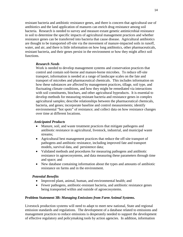resistant bacteria and antibiotic resistance genes, and there is concern that agricultural use of antibiotics and the land application of manures can enrich drug resistance among soil bacteria. Research is needed to survey and measure extant genetic antimicrobial resistance in soil to determine the specific impacts of agricultural management practices and whether resistance genes can be transferred into bacteria that cause disease. Agricultural antibiotics are thought to be transported off-site via the movement of manure-impacted soils in runoff, water, and air, and there is little information on how long antibiotics, other pharmaceuticals, resistant bacteria, and their genes persist in the environment or how they might affect soil functions.

## *Research Needs*

Work is needed to develop management systems and conservation practices that control and contain soil-borne and manure-borne microbes. To reduce off-site transport, information is needed at a range of landscape scales on the fate and transport of microbes and pharmaceutical chemicals. This includes information on how these substances are affected by management practices, tillage, soil type, and fluctuating climate conditions, and how they might be remediated via interactions with soil constituents, biochars, and other agricultural byproducts. It is essential to develop methods for measuring resistant bacteria and resistance genes in complex agricultural samples; describe relationships between the pharmaceutical chemicals, bacteria, and genes; incorporate baseline and control measurements; identify environmental "hot spots" of resistance; and collect data on how resistance changes over time at different locations.

## *Anticipated Products*

- Manure, soil, and waste treatment practices that mitigate pathogens and antibiotic resistance in agricultural, livestock, industrial, and municipal waste streams;
- Agricultural best management practices that reduce the off-site transport of pathogens and antibiotic resistance, including improved fate and transport models, survival data, and persistence data;
- Validated methods and procedures for measuring pathogens and antibiotic resistance in agroecosystems, and data measuring these parameters through time and space; and
- New database containing information about the types and amounts of antibiotic resistance on farms and in the environment.

## *Potential Benefits*

- Improved plant, animal, human, and environmental health; and
- Fewer pathogens, antibiotic-resistant bacteria, and antibiotic resistance genes being transported within and outside of agroecosystems.

#### **Problem Statement 3B:** *Managing Emissions from Farm Animal Systems.*

Livestock production systems will need to adapt to meet new national, State and regional emission standards and regulations. The development of a database related to emissions and management practices to reduce emissions is desperately needed to support the development of effective regulatory and policymaking tools by action agencies. In addition, information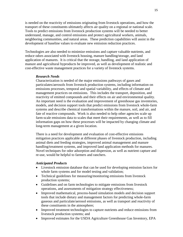is needed on the reactivity of emissions originating from livestock operations, and how the transport of these constituents ultimately affects air quality on a regional or national scale. Tools to predict emissions from livestock production systems will be needed to better understand, manage, and control emissions and protect agricultural workers, animals, neighboring communities, and natural areas. These prediction capabilities will assist in the development of baseline values to evaluate new emission reduction practices.

Technologies are also needed to minimize emissions and capture valuable nutrients, and reduce odors associated with livestock housing, manure handling/storage, and land application of manures. It is critical that the storage, handling, and land application of manure and agricultural byproducts be improved, as well as development of realistic and cost-effective waste management practices for a variety of livestock systems.

#### *Research Needs*

Characterization is needed of the major emissions pathways of gases and particulates/aerosols from livestock production systems, including information on emissions processes, temporal and spatial variability, and effects of climate and management practices on emissions. This includes the transport, deposition, and reactivity of emitted compounds and their effects on air and environmental quality. An important need is the evaluation and improvement of greenhouse gas inventories, models, and decision support tools that predict emissions from livestock whole-farm systems and describe chemical transformations within the manure, soil, and air, and fate of reactive compounds. Work is also needed to help other agencies scale up farm-scale emissions data to scales that meet their requirements, as well as to fill information gaps on how these processes will be impacted by changing climate and long-term management at a given location.

There is a need for development and evaluation of cost-effective emissions mitigation practices applicable at different phases of livestock production, including animal diets and feeding strategies, improved animal management and manure handling/treatment systems, and improved land application methods for manures. Novel techniques for odor adsorption and dispersion, as well as nutrient capture and re-use, would be helpful to farmers and ranchers.

#### *Anticipated Products*

- Livestock emission database that can be used for developing emission factors for whole farm systems and for model testing and validation;
- Technical guidelines for measuring/monitoring emissions from livestock production systems;
- Guidelines and on farm technologies to mitigate emissions from livestock operations, and assessments of mitigation strategy effectiveness;
- Improved mathematical, process-based simulation models and decision support tools that include dietary and management factors for predicting whole-farm gaseous and particulate/aerosol emissions, as well as transport and reactivity of these constituents in the atmosphere;
- Improved treatment technologies to capture nutrients and reduce emissions from livestock production systems; and
- Improved estimates for the USDA Agriculture Greenhouse Gas Inventory, EPA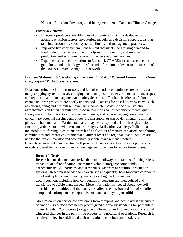National Emissions Inventory, and Intergovernmental Panel on Climate Change.

#### *Potential Benefits*

- Livestock producers are able to meet air emissions standards due to more accurate emission factors, inventories, models, and decision support tools that take into account livestock systems, climate, and management practices;
- Improved livestock system management that meets the growing demand for food, reduces the environmental footprint of production, and improves production and economic returns for farmers and ranchers; and
- Expanded use and contributions to Livestock GRACEnet (database, technical guidelines, and technology transfer) and information relevant to the mission of the USDA Climate Change Hub network.

## **Problem Statement 3C:** *Reducing Environmental Risk of Potential Contaminants from Cropping and Post-Harvest Systems.*

Data concerning the losses, transport, and fate of potential contaminants are lacking for many cropping systems at scales ranging from complex micro-environments to landscapes and regions, making management and policy decisions difficult. The effects of climate change on these processes are poorly understood. Datasets for post-harvest systems, such as cotton ginning and nut-hull removal, are incomplete. Volatile and semi-volatile agrochemicals and their formulations used in row crops can affect environmental quality. Heavy metals, pharmaceutically active compounds, and other emerging contaminants of concern are potential carcinogens, endocrine disruptors, or can be detrimental to animal, plant, and human health. Particulate matter may be transported offsite through erosion of fine dust particles due to wind erosion or through volatilization via energy/radiation and meteorological forcing. Emissions from land application of manure can affect neighboring communities and impact environmental quality at local and regional levels. Studies are needed that reflect realistic and economically viable management practices. Characterization and quantification will provide the necessary data to develop predictive models and enable the development of management practices to reduce these losses.

#### *Research Needs*

Research is needed to characterize the major pathways and factors affecting release, transport, and fate of particulate matter, volatile inorganic compounds, agrochemicals, soil particles, and greenhouse gas from agricultural production systems. Research is needed to characterize and quantify how bioactive compounds affect soils, plants, water quality, nutrient cycling, and organic matter decomposition, including how compounds of concerns are metabolized and transferred to edible plant tissues. More information is needed about how soil microbial communities and their activities affect the mission and fate of volatile compounds, nitrogenous compounds, methane, and hydrogen sulfide.

More research on particulate emissions from cropping and post-harvest agricultural operations is needed since newly promulgated air quality standards for particulate matter less than 2.5 microns ( $PM<sub>2.5</sub>$ ) have affected State Implementation Plans and triggered changes in the permitting process for agricultural operations. Research is required to develop additional drift mitigation technology and models for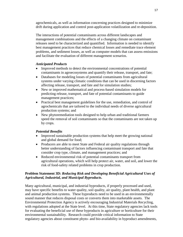agrochemicals, as well as information concerning practices designed to minimize drift during application and control post-application volatilization and re-deposition.

The interactions of potential contaminants across different landscapes and management combinations and the effects of a changing climate on contaminant releases need to be characterized and quantified. Information is needed to identify best management practices that reduce chemical losses and remediate trace element problems, and sediment losses, as well as computer models that can assess emissions and facilitate the evaluation of different management scenarios.

## *Anticipated Products*

- Improved methods to detect the environmental concentrations of potential contaminants in agroecosystems and quantify their release, transport, and fate;
- Databases for modeling losses of potential contaminants from agricultural systems under varying climatic conditions that can be used in discerning factors affecting release, transport, and fate and for simulation studies;
- New or improved mathematical and process-based simulation models for predicting release, transport, and fate of potential contaminants to guide management practices;
- Practical best management guidelines for the use, remediation, and control of agrochemicals that are tailored to the individual needs of diverse agricultural production systems; and
- New phytoremediation tools designed to help urban and traditional farmers speed the removal of soil contaminants so that the contaminants are not taken up by crops.

## *Potential Benefits*

- Improved sustainable production systems that help meet the growing national and global demand for food;
- Producers are able to meet State and Federal air quality regulations through better understanding of factors influencing contaminant transport and fate that consider crop type, climate, and management practices; and
- Reduced environmental risk of potential contaminants transport from agricultural operations, which will help protect air, water, and soil, and lower the risk of food-safety related problems in crop production.

## **Problem Statement 3D:** *Reducing Risk and Developing Beneficial Agricultural Uses of Agricultural, Industrial, and Municipal Byproducts***.**

Many agricultural, municipal, and industrial byproducts, if properly processed and used, may have specific benefits to water quality, soil quality, air quality, plant health, and plant and animal production systems. These byproducts need to be used in an environmentally sound manner that reduces disposal costs or converts them into marketable assets. The Environmental Protection Agency is actively encouraging Industrial Materials Recycling, with regulations adopted at the State level. At this time, State regulatory agencies lack tools for evaluating the beneficial use of these byproducts in agriculture or horticulture for their environmental sustainability. Research could provide critical information to State regulatory agencies about constituent phyto- and bio-availability in byproduct amendments,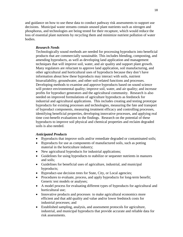and guidance on how to use these data to conduct pathway risk assessments to support use decisions. Municipal waste streams contain unused plant nutrients such as nitrogen and phosphorus, and technologies are being tested for their recapture, which would reduce the loss of essential plant nutrients by recycling them and minimize nutrient pollution of water bodies.

## *Research Needs*

Technologically sound methods are needed for processing byproducts into beneficial products that are commercially sustainable. This includes blending, composting, and amending byproducts, as well as developing land application and management techniques that will improve soil, water, and air quality and support plant growth. Many regulators are reluctant to approve land application, soil manufacturing, and other agricultural and horticultural uses of byproducts because they don't have information about how these byproducts may interact with soils, nutrient bioavailability, groundwater, and other soil-related functions and processes. Developing methods to examine and approve byproducts based on sound science will protect environmental quality; improve soil, water, and air quality; and increase profits for byproduct generators and the agricultural community. Research is also needed on improved formulations of agriculture byproducts as feedstock for industrial and agricultural applications. This includes creating and testing prototype byproducts for existing processes and technologies, measuring the fate and transport of byproduct components, measuring treatment efficacy and controlling processes, identifying beneficial properties, developing innovative processes, and applying real time cost-benefit evaluations to the findings. Research on the potential of these byproducts to improve soil physical and chemical properties and reclaim degraded soils is also needed.

#### *Anticipated Products*

- Byproducts that improve soils and/or remediate degraded or contaminated soils;
- Byproducts for use as components of manufactured soils, such as potting material in the horticulture industry;
- New agricultural byproducts for industrial applications;
- Guidelines for using byproducts to stabilize or sequester nutrients in manures and soils;
- Guidelines for beneficial uses of agriculture, industrial, and municipal byproducts;
- Byproduct-use decision trees for State, City, or Local agencies;
- Procedures to evaluate, process, and apply byproducts for long-term benefit; Generic test models or analyses;
- A model process for evaluating different types of byproducts for agricultural and horticultural use;
- Innovative products and processes to make agricultural economics more efficient and that add quality and value and/or lower feedstock costs for industrial processes; and
- Established sampling, analysis, and assessment protocols for agriculture, industrial, and municipal byproducts that provide accurate and reliable data for risk assessments.